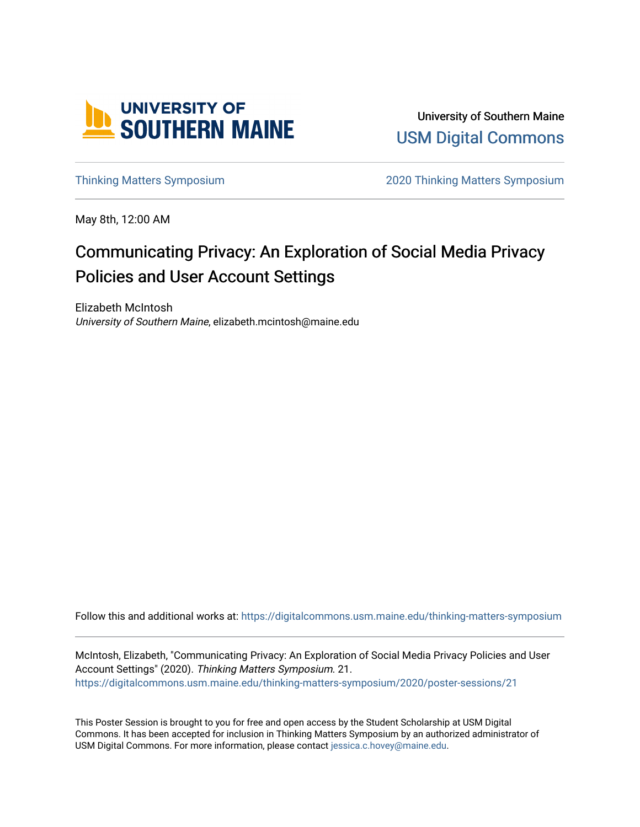

University of Southern Maine [USM Digital Commons](https://digitalcommons.usm.maine.edu/) 

[Thinking Matters Symposium](https://digitalcommons.usm.maine.edu/thinking-matters-symposium) [2020 Thinking Matters Symposium](https://digitalcommons.usm.maine.edu/thinking-matters-symposium/2020) 

May 8th, 12:00 AM

### Communicating Privacy: An Exploration of Social Media Privacy Policies and User Account Settings

Elizabeth McIntosh University of Southern Maine, elizabeth.mcintosh@maine.edu

Follow this and additional works at: [https://digitalcommons.usm.maine.edu/thinking-matters-symposium](https://digitalcommons.usm.maine.edu/thinking-matters-symposium?utm_source=digitalcommons.usm.maine.edu%2Fthinking-matters-symposium%2F2020%2Fposter-sessions%2F21&utm_medium=PDF&utm_campaign=PDFCoverPages) 

McIntosh, Elizabeth, "Communicating Privacy: An Exploration of Social Media Privacy Policies and User Account Settings" (2020). Thinking Matters Symposium. 21. [https://digitalcommons.usm.maine.edu/thinking-matters-symposium/2020/poster-sessions/21](https://digitalcommons.usm.maine.edu/thinking-matters-symposium/2020/poster-sessions/21?utm_source=digitalcommons.usm.maine.edu%2Fthinking-matters-symposium%2F2020%2Fposter-sessions%2F21&utm_medium=PDF&utm_campaign=PDFCoverPages) 

This Poster Session is brought to you for free and open access by the Student Scholarship at USM Digital Commons. It has been accepted for inclusion in Thinking Matters Symposium by an authorized administrator of USM Digital Commons. For more information, please contact [jessica.c.hovey@maine.edu](mailto:ian.fowler@maine.edu).